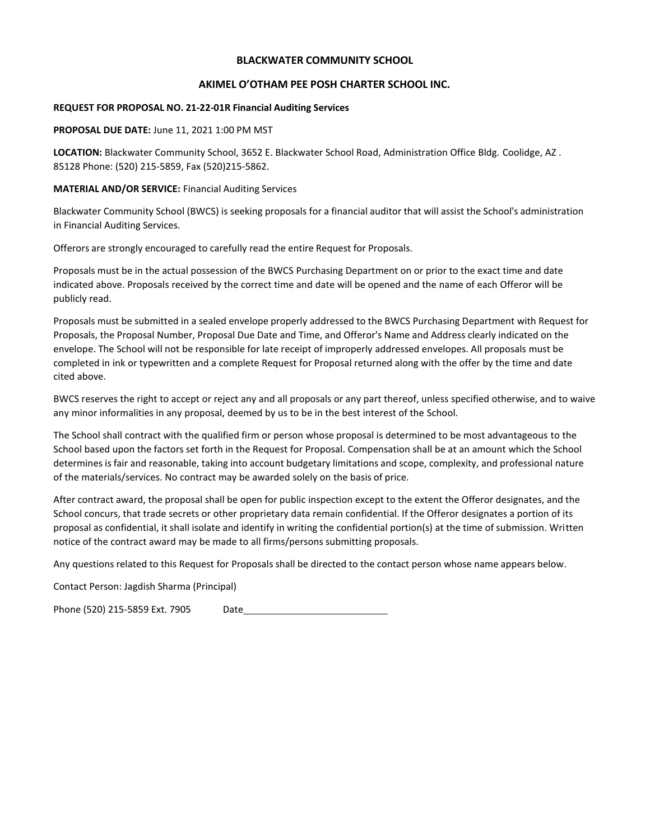#### **BLACKWATER COMMUNITY SCHOOL**

#### **AKIMEL O'OTHAM PEE POSH CHARTER SCHOOL INC.**

#### **REQUEST FOR PROPOSAL NO. 21-22-01R Financial Auditing Services**

#### **PROPOSAL DUE DATE:** June 11, 2021 1:00 PM MST

**LOCATION:** Blackwater Community School, 3652 E. Blackwater School Road, Administration Office Bldg. Coolidge, AZ . 85128 Phone: (520) 215-5859, Fax (520)215-5862.

#### **MATERIAL AND/OR SERVICE:** Financial Auditing Services

Blackwater Community School (BWCS) is seeking proposals for a financial auditor that will assist the School's administration in Financial Auditing Services.

Offerors are strongly encouraged to carefully read the entire Request for Proposals.

Proposals must be in the actual possession of the BWCS Purchasing Department on or prior to the exact time and date indicated above. Proposals received by the correct time and date will be opened and the name of each Offeror will be publicly read.

Proposals must be submitted in a sealed envelope properly addressed to the BWCS Purchasing Department with Request for Proposals, the Proposal Number, Proposal Due Date and Time, and Offeror's Name and Address clearly indicated on the envelope. The School will not be responsible for late receipt of improperly addressed envelopes. All proposals must be completed in ink or typewritten and a complete Request for Proposal returned along with the offer by the time and date cited above.

BWCS reserves the right to accept or reject any and all proposals or any part thereof, unless specified otherwise, and to waive any minor informalities in any proposal, deemed by us to be in the best interest of the School.

The School shall contract with the qualified firm or person whose proposal is determined to be most advantageous to the School based upon the factors set forth in the Request for Proposal. Compensation shall be at an amount which the School determines is fair and reasonable, taking into account budgetary limitations and scope, complexity, and professional nature of the materials/services. No contract may be awarded solely on the basis of price.

After contract award, the proposal shall be open for public inspection except to the extent the Offeror designates, and the School concurs, that trade secrets or other proprietary data remain confidential. If the Offeror designates a portion of its proposal as confidential, it shall isolate and identify in writing the confidential portion(s) at the time of submission. Written notice of the contract award may be made to all firms/persons submitting proposals.

Any questions related to this Request for Proposals shall be directed to the contact person whose name appears below.

Contact Person: Jagdish Sharma (Principal)

Phone (520) 215-5859 Ext. 7905 Date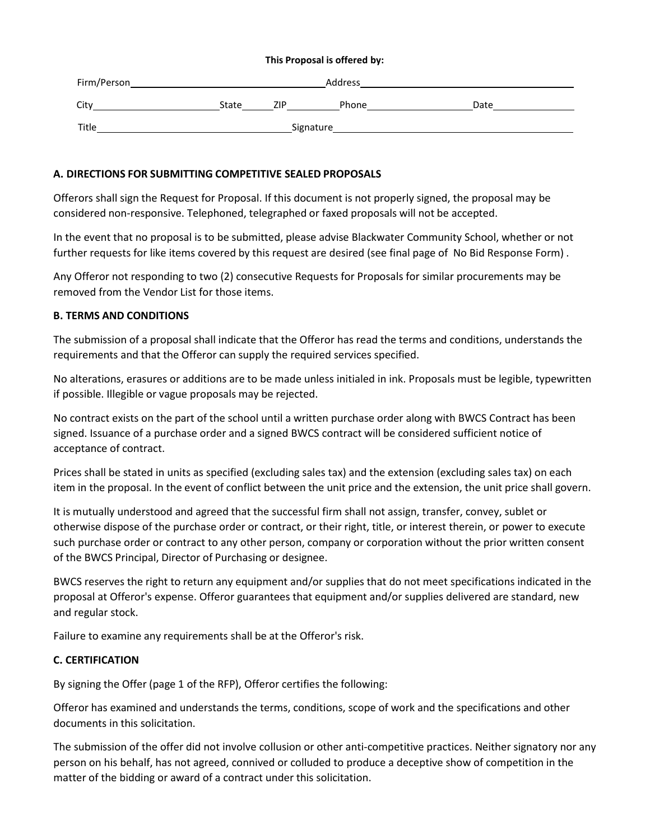#### **This Proposal is offered by:**

| Firm/Person | Address   |     |       |      |
|-------------|-----------|-----|-------|------|
| City        | State     | ZIP | Phone | Date |
| Title       | Signature |     |       |      |

### **A. DIRECTIONS FOR SUBMITTING COMPETITIVE SEALED PROPOSALS**

Offerors shall sign the Request for Proposal. If this document is not properly signed, the proposal may be considered non-responsive. Telephoned, telegraphed or faxed proposals will not be accepted.

In the event that no proposal is to be submitted, please advise Blackwater Community School, whether or not further requests for like items covered by this request are desired (see final page of No Bid Response Form) .

Any Offeror not responding to two (2) consecutive Requests for Proposals for similar procurements may be removed from the Vendor List for those items.

### **B. TERMS AND CONDITIONS**

The submission of a proposal shall indicate that the Offeror has read the terms and conditions, understands the requirements and that the Offeror can supply the required services specified.

No alterations, erasures or additions are to be made unless initialed in ink. Proposals must be legible, typewritten if possible. Illegible or vague proposals may be rejected.

No contract exists on the part of the school until a written purchase order along with BWCS Contract has been signed. Issuance of a purchase order and a signed BWCS contract will be considered sufficient notice of acceptance of contract.

Prices shall be stated in units as specified (excluding sales tax) and the extension (excluding sales tax) on each item in the proposal. In the event of conflict between the unit price and the extension, the unit price shall govern.

It is mutually understood and agreed that the successful firm shall not assign, transfer, convey, sublet or otherwise dispose of the purchase order or contract, or their right, title, or interest therein, or power to execute such purchase order or contract to any other person, company or corporation without the prior written consent of the BWCS Principal, Director of Purchasing or designee.

BWCS reserves the right to return any equipment and/or supplies that do not meet specifications indicated in the proposal at Offeror's expense. Offeror guarantees that equipment and/or supplies delivered are standard, new and regular stock.

Failure to examine any requirements shall be at the Offeror's risk.

### **C. CERTIFICATION**

By signing the Offer (page 1 of the RFP), Offeror certifies the following:

Offeror has examined and understands the terms, conditions, scope of work and the specifications and other documents in this solicitation.

The submission of the offer did not involve collusion or other anti-competitive practices. Neither signatory nor any person on his behalf, has not agreed, connived or colluded to produce a deceptive show of competition in the matter of the bidding or award of a contract under this solicitation.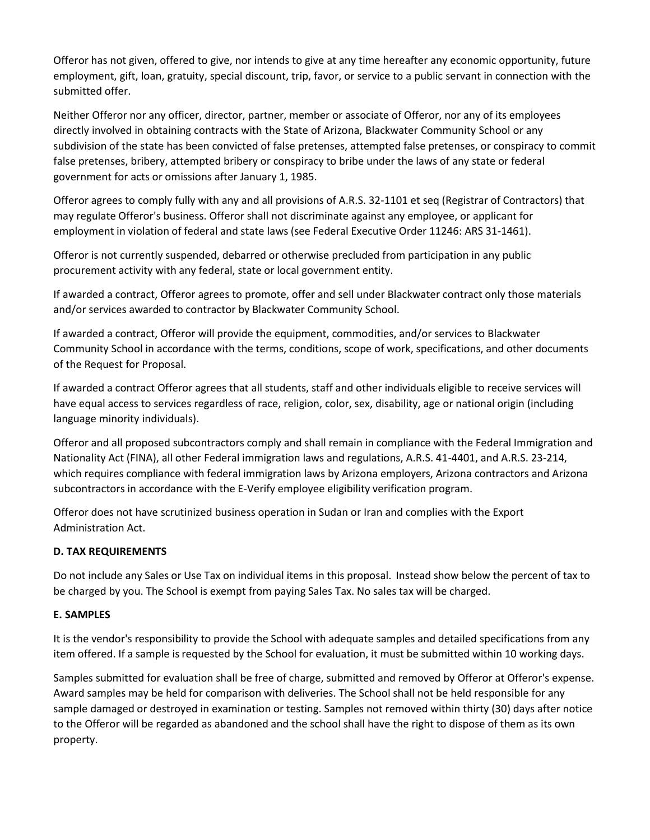Offeror has not given, offered to give, nor intends to give at any time hereafter any economic opportunity, future employment, gift, loan, gratuity, special discount, trip, favor, or service to a public servant in connection with the submitted offer.

Neither Offeror nor any officer, director, partner, member or associate of Offeror, nor any of its employees directly involved in obtaining contracts with the State of Arizona, Blackwater Community School or any subdivision of the state has been convicted of false pretenses, attempted false pretenses, or conspiracy to commit false pretenses, bribery, attempted bribery or conspiracy to bribe under the laws of any state or federal government for acts or omissions after January 1, 1985.

Offeror agrees to comply fully with any and all provisions of A.R.S. 32-1101 et seq (Registrar of Contractors) that may regulate Offeror's business. Offeror shall not discriminate against any employee, or applicant for employment in violation of federal and state laws (see Federal Executive Order 11246: ARS 31-1461).

Offeror is not currently suspended, debarred or otherwise precluded from participation in any public procurement activity with any federal, state or local government entity.

If awarded a contract, Offeror agrees to promote, offer and sell under Blackwater contract only those materials and/or services awarded to contractor by Blackwater Community School.

If awarded a contract, Offeror will provide the equipment, commodities, and/or services to Blackwater Community School in accordance with the terms, conditions, scope of work, specifications, and other documents of the Request for Proposal.

If awarded a contract Offeror agrees that all students, staff and other individuals eligible to receive services will have equal access to services regardless of race, religion, color, sex, disability, age or national origin (including language minority individuals).

Offeror and all proposed subcontractors comply and shall remain in compliance with the Federal Immigration and Nationality Act (FINA), all other Federal immigration laws and regulations, A.R.S. 41-4401, and A.R.S. 23-214, which requires compliance with federal immigration laws by Arizona employers, Arizona contractors and Arizona subcontractors in accordance with the E-Verify employee eligibility verification program.

Offeror does not have scrutinized business operation in Sudan or Iran and complies with the Export Administration Act.

## **D. TAX REQUIREMENTS**

Do not include any Sales or Use Tax on individual items in this proposal. Instead show below the percent of tax to be charged by you. The School is exempt from paying Sales Tax. No sales tax will be charged.

## **E. SAMPLES**

It is the vendor's responsibility to provide the School with adequate samples and detailed specifications from any item offered. If a sample is requested by the School for evaluation, it must be submitted within 10 working days.

Samples submitted for evaluation shall be free of charge, submitted and removed by Offeror at Offeror's expense. Award samples may be held for comparison with deliveries. The School shall not be held responsible for any sample damaged or destroyed in examination or testing. Samples not removed within thirty (30) days after notice to the Offeror will be regarded as abandoned and the school shall have the right to dispose of them as its own property.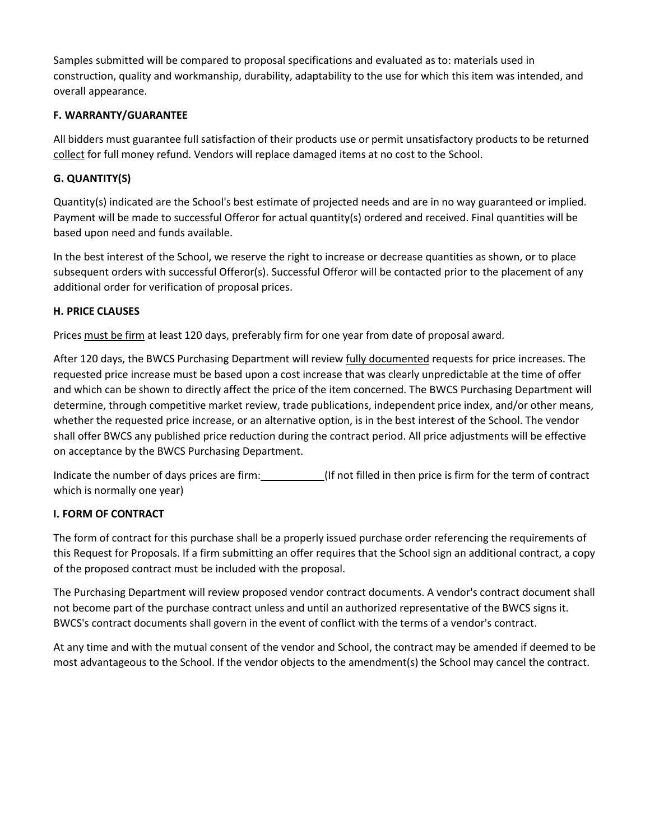Samples submitted will be compared to proposal specifications and evaluated as to: materials used in construction, quality and workmanship, durability, adaptability to the use for which this item was intended, and overall appearance.

## **F. WARRANTY/GUARANTEE**

All bidders must guarantee full satisfaction of their products use or permit unsatisfactory products to be returned collect for full money refund. Vendors will replace damaged items at no cost to the School.

# **G. QUANTITY(S)**

Quantity(s) indicated are the School's best estimate of projected needs and are in no way guaranteed or implied. Payment will be made to successful Offeror for actual quantity(s) ordered and received. Final quantities will be based upon need and funds available.

In the best interest of the School, we reserve the right to increase or decrease quantities as shown, or to place subsequent orders with successful Offeror(s). Successful Offeror will be contacted prior to the placement of any additional order for verification of proposal prices.

## **H. PRICE CLAUSES**

Prices must be firm at least 120 days, preferably firm for one year from date of proposal award.

After 120 days, the BWCS Purchasing Department will review fully documented requests for price increases. The requested price increase must be based upon a cost increase that was clearly unpredictable at the time of offer and which can be shown to directly affect the price of the item concerned. The BWCS Purchasing Department will determine, through competitive market review, trade publications, independent price index, and/or other means, whether the requested price increase, or an alternative option, is in the best interest of the School. The vendor shall offer BWCS any published price reduction during the contract period. All price adjustments will be effective on acceptance by the BWCS Purchasing Department.

Indicate the number of days prices are firm: (If not filled in then price is firm for the term of contract which is normally one year)

## **I. FORM OF CONTRACT**

The form of contract for this purchase shall be a properly issued purchase order referencing the requirements of this Request for Proposals. If a firm submitting an offer requires that the School sign an additional contract, a copy of the proposed contract must be included with the proposal.

The Purchasing Department will review proposed vendor contract documents. A vendor's contract document shall not become part of the purchase contract unless and until an authorized representative of the BWCS signs it. BWCS's contract documents shall govern in the event of conflict with the terms of a vendor's contract.

At any time and with the mutual consent of the vendor and School, the contract may be amended if deemed to be most advantageous to the School. If the vendor objects to the amendment(s) the School may cancel the contract.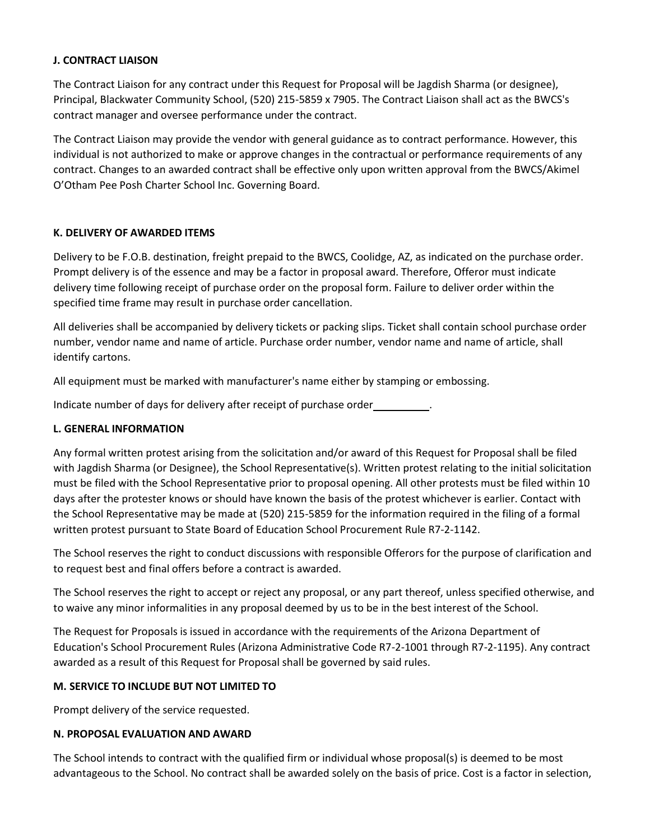### **J. CONTRACT LIAISON**

The Contract Liaison for any contract under this Request for Proposal will be Jagdish Sharma (or designee), Principal, Blackwater Community School, (520) 215-5859 x 7905. The Contract Liaison shall act as the BWCS's contract manager and oversee performance under the contract.

The Contract Liaison may provide the vendor with general guidance as to contract performance. However, this individual is not authorized to make or approve changes in the contractual or performance requirements of any contract. Changes to an awarded contract shall be effective only upon written approval from the BWCS/Akimel O'Otham Pee Posh Charter School Inc. Governing Board.

## **K. DELIVERY OF AWARDED ITEMS**

Delivery to be F.O.B. destination, freight prepaid to the BWCS, Coolidge, AZ, as indicated on the purchase order. Prompt delivery is of the essence and may be a factor in proposal award. Therefore, Offeror must indicate delivery time following receipt of purchase order on the proposal form. Failure to deliver order within the specified time frame may result in purchase order cancellation.

All deliveries shall be accompanied by delivery tickets or packing slips. Ticket shall contain school purchase order number, vendor name and name of article. Purchase order number, vendor name and name of article, shall identify cartons.

All equipment must be marked with manufacturer's name either by stamping or embossing.

Indicate number of days for delivery after receipt of purchase order .

### **L. GENERAL INFORMATION**

Any formal written protest arising from the solicitation and/or award of this Request for Proposal shall be filed with Jagdish Sharma (or Designee), the School Representative(s). Written protest relating to the initial solicitation must be filed with the School Representative prior to proposal opening. All other protests must be filed within 10 days after the protester knows or should have known the basis of the protest whichever is earlier. Contact with the School Representative may be made at (520) 215-5859 for the information required in the filing of a formal written protest pursuant to State Board of Education School Procurement Rule R7-2-1142.

The School reserves the right to conduct discussions with responsible Offerors for the purpose of clarification and to request best and final offers before a contract is awarded.

The School reserves the right to accept or reject any proposal, or any part thereof, unless specified otherwise, and to waive any minor informalities in any proposal deemed by us to be in the best interest of the School.

The Request for Proposals is issued in accordance with the requirements of the Arizona Department of Education's School Procurement Rules (Arizona Administrative Code R7-2-1001 through R7-2-1195). Any contract awarded as a result of this Request for Proposal shall be governed by said rules.

### **M. SERVICE TO INCLUDE BUT NOT LIMITED TO**

Prompt delivery of the service requested.

### **N. PROPOSAL EVALUATION AND AWARD**

The School intends to contract with the qualified firm or individual whose proposal(s) is deemed to be most advantageous to the School. No contract shall be awarded solely on the basis of price. Cost is a factor in selection,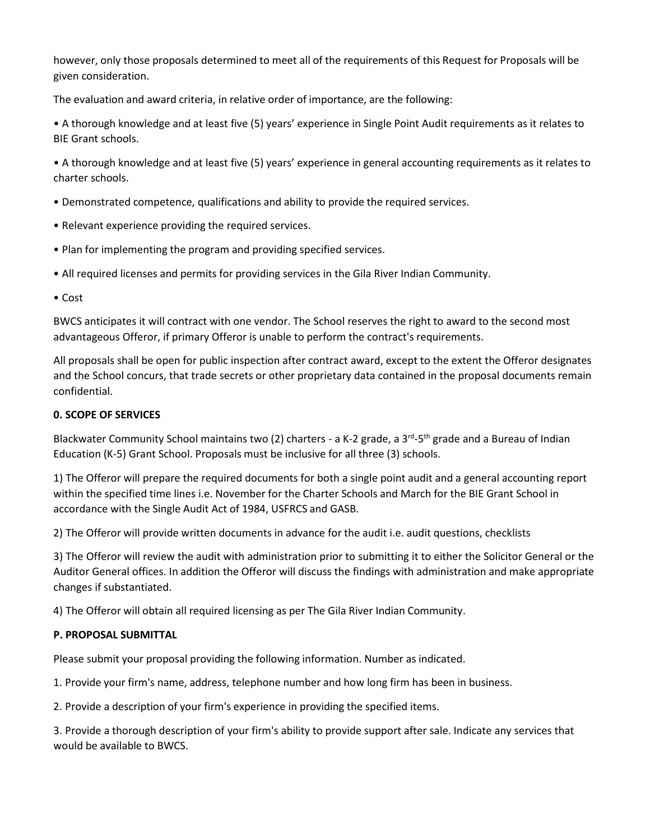however, only those proposals determined to meet all of the requirements of this Request for Proposals will be given consideration.

The evaluation and award criteria, in relative order of importance, are the following:

• A thorough knowledge and at least five (5) years' experience in Single Point Audit requirements as it relates to BIE Grant schools.

• A thorough knowledge and at least five (5) years' experience in general accounting requirements as it relates to charter schools.

- Demonstrated competence, qualifications and ability to provide the required services.
- Relevant experience providing the required services.
- Plan for implementing the program and providing specified services.
- All required licenses and permits for providing services in the Gila River Indian Community.

• Cost

BWCS anticipates it will contract with one vendor. The School reserves the right to award to the second most advantageous Offeror, if primary Offeror is unable to perform the contract's requirements.

All proposals shall be open for public inspection after contract award, except to the extent the Offeror designates and the School concurs, that trade secrets or other proprietary data contained in the proposal documents remain confidential.

## **0. SCOPE OF SERVICES**

Blackwater Community School maintains two (2) charters - a K-2 grade, a 3<sup>rd</sup>-5<sup>th</sup> grade and a Bureau of Indian Education (K-5) Grant School. Proposals must be inclusive for all three (3) schools.

1) The Offeror will prepare the required documents for both a single point audit and a general accounting report within the specified time lines i.e. November for the Charter Schools and March for the BIE Grant School in accordance with the Single Audit Act of 1984, USFRCS and GASB.

2) The Offeror will provide written documents in advance for the audit i.e. audit questions, checklists

3) The Offeror will review the audit with administration prior to submitting it to either the Solicitor General or the Auditor General offices. In addition the Offeror will discuss the findings with administration and make appropriate changes if substantiated.

4) The Offeror will obtain all required licensing as per The Gila River Indian Community.

## **P. PROPOSAL SUBMITTAL**

Please submit your proposal providing the following information. Number as indicated.

1. Provide your firm's name, address, telephone number and how long firm has been in business.

2. Provide a description of your firm's experience in providing the specified items.

3. Provide a thorough description of your firm's ability to provide support after sale. Indicate any services that would be available to BWCS.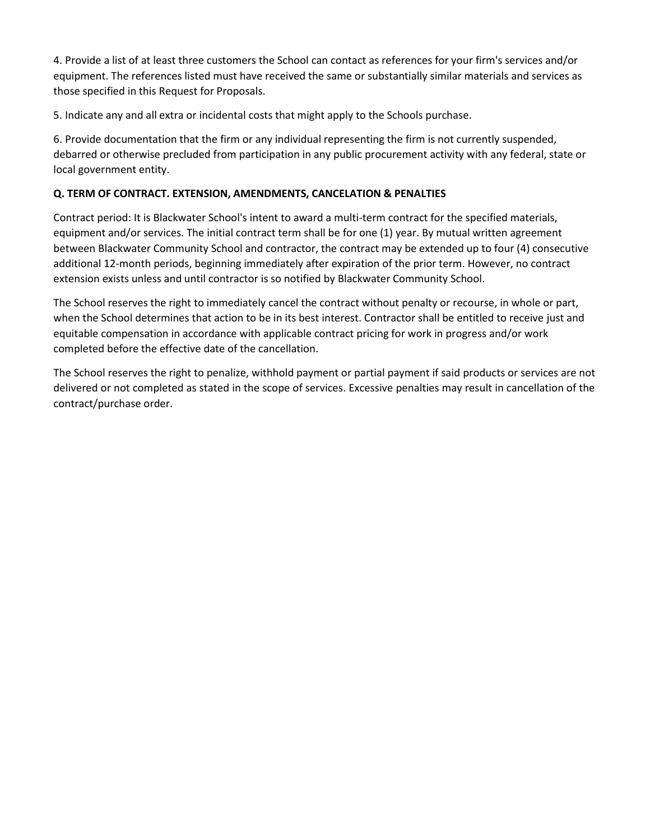4. Provide a list of at least three customers the School can contact as references for your firm's services and/or equipment. The references listed must have received the same or substantially similar materials and services as those specified in this Request for Proposals.

5. Indicate any and all extra or incidental costs that might apply to the Schools purchase.

6. Provide documentation that the firm or any individual representing the firm is not currently suspended, debarred or otherwise precluded from participation in any public procurement activity with any federal, state or local government entity.

# **Q. TERM OF CONTRACT. EXTENSION, AMENDMENTS, CANCELATION & PENALTIES**

Contract period: It is Blackwater School's intent to award a multi-term contract for the specified materials, equipment and/or services. The initial contract term shall be for one (1) year. By mutual written agreement between Blackwater Community School and contractor, the contract may be extended up to four (4) consecutive additional 12-month periods, beginning immediately after expiration of the prior term. However, no contract extension exists unless and until contractor is so notified by Blackwater Community School.

The School reserves the right to immediately cancel the contract without penalty or recourse, in whole or part, when the School determines that action to be in its best interest. Contractor shall be entitled to receive just and equitable compensation in accordance with applicable contract pricing for work in progress and/or work completed before the effective date of the cancellation.

The School reserves the right to penalize, withhold payment or partial payment if said products or services are not delivered or not completed as stated in the scope of services. Excessive penalties may result in cancellation of the contract/purchase order.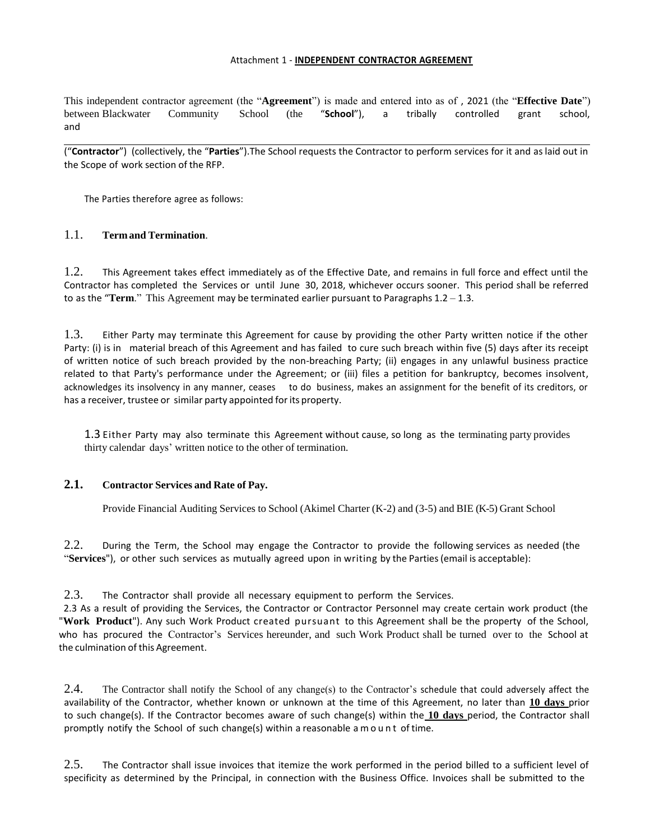#### Attachment 1 - **INDEPENDENT CONTRACTOR AGREEMENT**

This independent contractor agreement (the "**Agreement**") is made and entered into as of , 2021 (the "**Effective Date**") between Blackwater Community School (the "**School**"), a tribally controlled grant school, and

("**Contractor**") (collectively, the "**Parties**").The School requests the Contractor to perform services for it and as laid out in the Scope of work section of the RFP.

The Parties therefore agree as follows:

### 1.1. **Termand Termination**.

1.2. This Agreement takes effect immediately as of the Effective Date, and remains in full force and effect until the Contractor has completed the Services or until June 30, 2018, whichever occurs sooner. This period shall be referred to as the "**Term**." This Agreement may be terminated earlier pursuant to Paragraphs 1.2 – 1.3.

1.3. Either Party may terminate this Agreement for cause by providing the other Party written notice if the other Party: (i) is in material breach of this Agreement and has failed to cure such breach within five (5) days after its receipt of written notice of such breach provided by the non-breaching Party; (ii) engages in any unlawful business practice related to that Party's performance under the Agreement; or (iii) files a petition for bankruptcy, becomes insolvent, acknowledges its insolvency in any manner, ceases to do business, makes an assignment for the benefit of its creditors, or has a receiver, trustee or similar party appointed for its property.

1.3 Either Party may also terminate this Agreement without cause, so long as the terminating party provides thirty calendar days' written notice to the other of termination.

#### **2.1. Contractor Services and Rate of Pay.**

Provide Financial Auditing Services to School (Akimel Charter (K-2) and (3-5) and BIE (K-5) Grant School

2.2. During the Term, the School may engage the Contractor to provide the following services as needed (the "**Services**"), or other such services as mutually agreed upon in writing by the Parties(email is acceptable):

2.3. The Contractor shall provide all necessary equipment to perform the Services.

2.3 As a result of providing the Services, the Contractor or Contractor Personnel may create certain work product (the "**Work Product**"). Any such Work Product created pursuant to this Agreement shall be the property of the School, who has procured the Contractor's Services hereunder, and such Work Product shall be turned over to the School at the culmination of this Agreement.

2.4. The Contractor shall notify the School of any change(s) to the Contractor's schedule that could adversely affect the availability of the Contractor, whether known or unknown at the time of this Agreement, no later than **10 days** prior to such change(s). If the Contractor becomes aware of such change(s) within the **10 days** period, the Contractor shall promptly notify the School of such change(s) within a reasonable a m o u n t of time.

2.5. The Contractor shall issue invoices that itemize the work performed in the period billed to a sufficient level of specificity as determined by the Principal, in connection with the Business Office. Invoices shall be submitted to the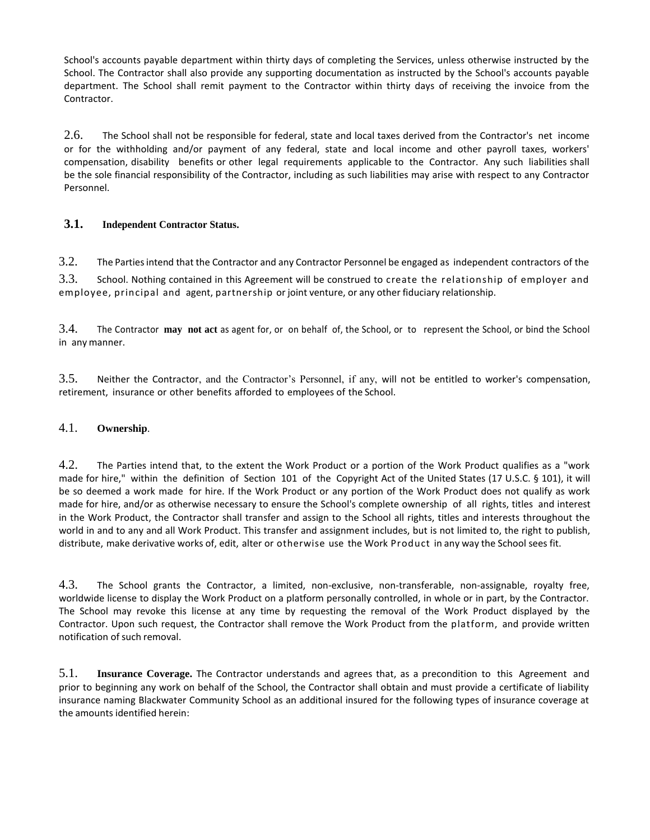School's accounts payable department within thirty days of completing the Services, unless otherwise instructed by the School. The Contractor shall also provide any supporting documentation as instructed by the School's accounts payable department. The School shall remit payment to the Contractor within thirty days of receiving the invoice from the Contractor.

2.6. The School shall not be responsible for federal, state and local taxes derived from the Contractor's net income or for the withholding and/or payment of any federal, state and local income and other payroll taxes, workers' compensation, disability benefits or other legal requirements applicable to the Contractor. Any such liabilities shall be the sole financial responsibility of the Contractor, including as such liabilities may arise with respect to any Contractor Personnel.

## **3.1. Independent Contractor Status.**

3.2. The Parties intend that the Contractor and any Contractor Personnel be engaged as independent contractors of the

3.3. School. Nothing contained in this Agreement will be construed to create the relationship of employer and employee, principal and agent, partnership or joint venture, or any other fiduciary relationship.

3.4. The Contractor **may not act** as agent for, or on behalf of, the School, or to represent the School, or bind the School in any manner.

3.5. Neither the Contractor, and the Contractor's Personnel, if any, will not be entitled to worker's compensation, retirement, insurance or other benefits afforded to employees of the School.

#### 4.1. **Ownership**.

4.2. The Parties intend that, to the extent the Work Product or a portion of the Work Product qualifies as a "work made for hire," within the definition of Section 101 of the Copyright Act of the United States (17 U.S.C. § 101), it will be so deemed a work made for hire. If the Work Product or any portion of the Work Product does not qualify as work made for hire, and/or as otherwise necessary to ensure the School's complete ownership of all rights, titles and interest in the Work Product, the Contractor shall transfer and assign to the School all rights, titles and interests throughout the world in and to any and all Work Product. This transfer and assignment includes, but is not limited to, the right to publish, distribute, make derivative works of, edit, alter or otherwise use the Work Product in any way the School sees fit.

4.3. The School grants the Contractor, a limited, non-exclusive, non-transferable, non-assignable, royalty free, worldwide license to display the Work Product on a platform personally controlled, in whole or in part, by the Contractor. The School may revoke this license at any time by requesting the removal of the Work Product displayed by the Contractor. Upon such request, the Contractor shall remove the Work Product from the platform, and provide written notification of such removal.

5.1. **Insurance Coverage.** The Contractor understands and agrees that, as a precondition to this Agreement and prior to beginning any work on behalf of the School, the Contractor shall obtain and must provide a certificate of liability insurance naming Blackwater Community School as an additional insured for the following types of insurance coverage at the amounts identified herein: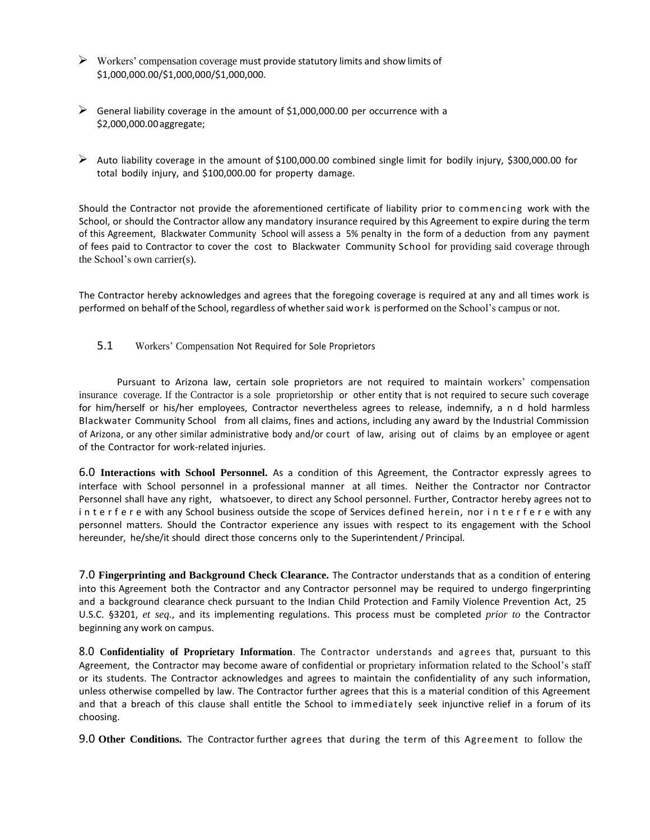- $\triangleright$  Workers' compensation coverage must provide statutory limits and show limits of \$1,000,000.00/\$1,000,000/\$1,000,000.
- $\triangleright$  General liability coverage in the amount of \$1,000,000.00 per occurrence with a \$2,000,000.00aggregate;
- $\triangleright$  Auto liability coverage in the amount of \$100,000.00 combined single limit for bodily injury, \$300,000.00 for total bodily injury, and \$100,000.00 for property damage.

Should the Contractor not provide the aforementioned certificate of liability prior to commencing work with the School, or should the Contractor allow any mandatory insurance required by this Agreement to expire during the term of this Agreement, Blackwater Community School will assess a 5% penalty in the form of a deduction from any payment of fees paid to Contractor to cover the cost to Blackwater Community School for providing said coverage through the School's own carrier(s).

The Contractor hereby acknowledges and agrees that the foregoing coverage is required at any and all times work is performed on behalf of the School, regardless of whether said work is performed on the School's campus or not.

5.1 Workers' Compensation Not Required for Sole Proprietors

Pursuant to Arizona law, certain sole proprietors are not required to maintain workers' compensation insurance coverage. If the Contractor is a sole proprietorship or other entity that is not required to secure such coverage for him/herself or his/her employees, Contractor nevertheless agrees to release, indemnify, a n d hold harmless Blackwater Community School from all claims, fines and actions, including any award by the Industrial Commission of Arizona, or any other similar administrative body and/or court of law, arising out of claims by an employee or agent of the Contractor for work-related injuries.

6.0 **Interactions with School Personnel.** As a condition of this Agreement, the Contractor expressly agrees to interface with School personnel in a professional manner at all times. Neither the Contractor nor Contractor Personnel shall have any right, whatsoever, to direct any School personnel. Further, Contractor hereby agrees not to interfere with any School business outside the scope of Services defined herein, nor interfere with any personnel matters. Should the Contractor experience any issues with respect to its engagement with the School hereunder, he/she/it should direct those concerns only to the Superintendent/ Principal.

7.0 **Fingerprinting and Background Check Clearance.** The Contractor understands that as a condition of entering into this Agreement both the Contractor and any Contractor personnel may be required to undergo fingerprinting and a background clearance check pursuant to the Indian Child Protection and Family Violence Prevention Act, 25 U.S.C. §3201, *et seq.*, and its implementing regulations. This process must be completed *prior to* the Contractor beginning any work on campus.

8.0 **Confidentiality of Proprietary Information**. The Contractor understands and agrees that, pursuant to this Agreement, the Contractor may become aware of confidential or proprietary information related to the School's staff or its students. The Contractor acknowledges and agrees to maintain the confidentiality of any such information, unless otherwise compelled by law. The Contractor further agrees that this is a material condition of this Agreement and that a breach of this clause shall entitle the School to immediately seek injunctive relief in a forum of its choosing.

9.0 **Other Conditions.** The Contractor further agrees that during the term of this Agreement to follow the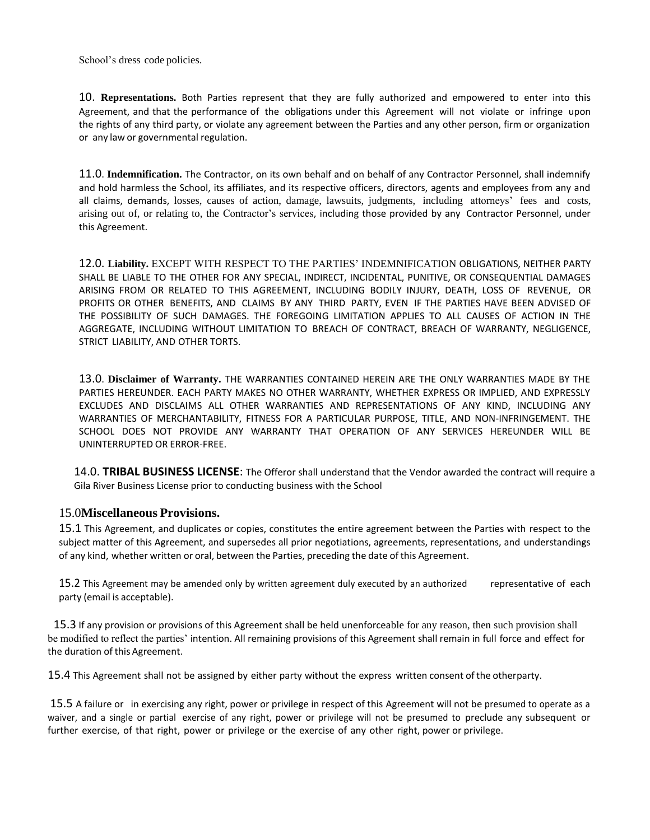School's dress code policies.

10. **Representations.** Both Parties represent that they are fully authorized and empowered to enter into this Agreement, and that the performance of the obligations under this Agreement will not violate or infringe upon the rights of any third party, or violate any agreement between the Parties and any other person, firm or organization or any law or governmental regulation.

11.0. **Indemnification.** The Contractor, on its own behalf and on behalf of any Contractor Personnel, shall indemnify and hold harmless the School, its affiliates, and its respective officers, directors, agents and employees from any and all claims, demands, losses, causes of action, damage, lawsuits, judgments, including attorneys' fees and costs, arising out of, or relating to, the Contractor's services, including those provided by any Contractor Personnel, under this Agreement.

12.0. **Liability.** EXCEPT WITH RESPECT TO THE PARTIES' INDEMNIFICATION OBLIGATIONS, NEITHER PARTY SHALL BE LIABLE TO THE OTHER FOR ANY SPECIAL, INDIRECT, INCIDENTAL, PUNITIVE, OR CONSEQUENTIAL DAMAGES ARISING FROM OR RELATED TO THIS AGREEMENT, INCLUDING BODILY INJURY, DEATH, LOSS OF REVENUE, OR PROFITS OR OTHER BENEFITS, AND CLAIMS BY ANY THIRD PARTY, EVEN IF THE PARTIES HAVE BEEN ADVISED OF THE POSSIBILITY OF SUCH DAMAGES. THE FOREGOING LIMITATION APPLIES TO ALL CAUSES OF ACTION IN THE AGGREGATE, INCLUDING WITHOUT LIMITATION TO BREACH OF CONTRACT, BREACH OF WARRANTY, NEGLIGENCE, STRICT LIABILITY, AND OTHER TORTS.

13.0. **Disclaimer of Warranty.** THE WARRANTIES CONTAINED HEREIN ARE THE ONLY WARRANTIES MADE BY THE PARTIES HEREUNDER. EACH PARTY MAKES NO OTHER WARRANTY, WHETHER EXPRESS OR IMPLIED, AND EXPRESSLY EXCLUDES AND DISCLAIMS ALL OTHER WARRANTIES AND REPRESENTATIONS OF ANY KIND, INCLUDING ANY WARRANTIES OF MERCHANTABILITY, FITNESS FOR A PARTICULAR PURPOSE, TITLE, AND NON-INFRINGEMENT. THE SCHOOL DOES NOT PROVIDE ANY WARRANTY THAT OPERATION OF ANY SERVICES HEREUNDER WILL BE UNINTERRUPTED OR ERROR-FREE.

14.0. **TRIBAL BUSINESS LICENSE**: The Offeror shall understand that the Vendor awarded the contract will require a Gila River Business License prior to conducting business with the School

### 15.0**Miscellaneous Provisions.**

15.1 This Agreement, and duplicates or copies, constitutes the entire agreement between the Parties with respect to the subject matter of this Agreement, and supersedes all prior negotiations, agreements, representations, and understandings of any kind, whether written or oral, between the Parties, preceding the date of this Agreement.

15.2 This Agreement may be amended only by written agreement duly executed by an authorized representative of each party (email is acceptable).

 15.3 If any provision or provisions of this Agreement shall be held unenforceable for any reason, then such provision shall be modified to reflect the parties' intention. All remaining provisions of this Agreement shall remain in full force and effect for the duration of this Agreement.

15.4 This Agreement shall not be assigned by either party without the express written consent of the otherparty.

15.5 A failure or in exercising any right, power or privilege in respect of this Agreement will not be presumed to operate as a waiver, and a single or partial exercise of any right, power or privilege will not be presumed to preclude any subsequent or further exercise, of that right, power or privilege or the exercise of any other right, power or privilege.